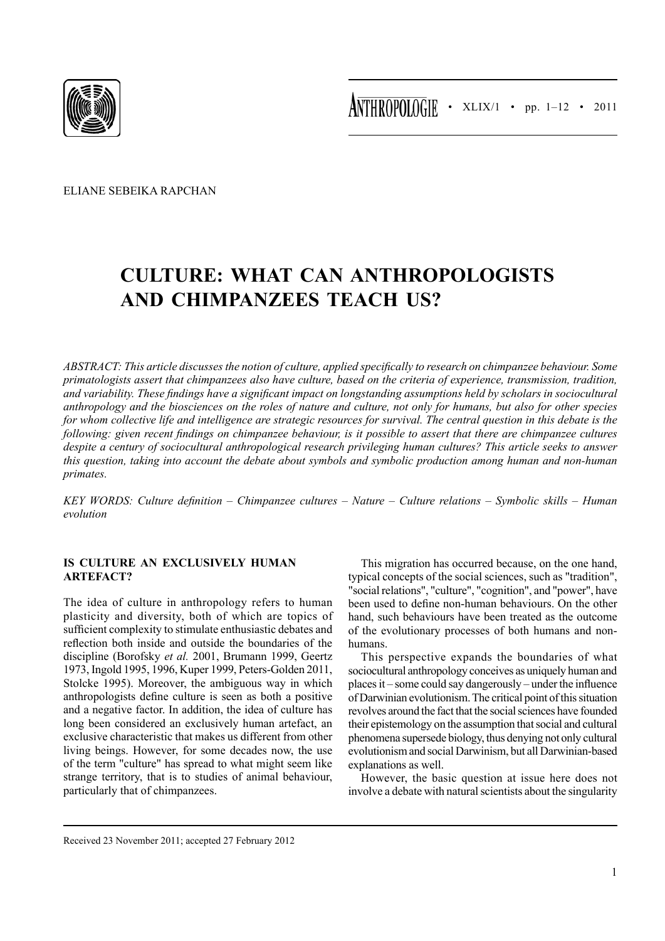

Eliane Sebeika Rapchan

# **Culture: What can Anthropologists and Chimpanzees teach us?**

*Abstract: This article discusses the notion of culture, applied specifically to research on chimpanzee behaviour. Some primatologists assert that chimpanzees also have culture, based on the criteria of experience, transmission, tradition, and variability. These findings have a significant impact on longstanding assumptions held by scholars in sociocultural anthropology and the biosciences on the roles of nature and culture, not only for humans, but also for other species for whom collective life and intelligence are strategic resources for survival. The central question in this debate is the following: given recent findings on chimpanzee behaviour, is it possible to assert that there are chimpanzee cultures despite a century of sociocultural anthropological research privileging human cultures? This article seeks to answer this question, taking into account the debate about symbols and symbolic production among human and non-human primates.*

*Key Words: Culture definition – Chimpanzee cultures – Nature – Culture relations – Symbolic skills – Human evolution*

# **Is culture an exclusively human artefact?**

The idea of culture in anthropology refers to human plasticity and diversity, both of which are topics of sufficient complexity to stimulate enthusiastic debates and reflection both inside and outside the boundaries of the discipline (Borofsky *et al.* 2001, Brumann 1999, Geertz 1973, Ingold 1995, 1996, Kuper 1999, Peters-Golden 2011, Stolcke 1995). Moreover, the ambiguous way in which anthropologists define culture is seen as both a positive and a negative factor. In addition, the idea of culture has long been considered an exclusively human artefact, an exclusive characteristic that makes us different from other living beings. However, for some decades now, the use of the term "culture" has spread to what might seem like strange territory, that is to studies of animal behaviour, particularly that of chimpanzees.

This migration has occurred because, on the one hand, typical concepts of the social sciences, such as "tradition", "social relations", "culture", "cognition", and "power", have been used to define non-human behaviours. On the other hand, such behaviours have been treated as the outcome of the evolutionary processes of both humans and nonhumans.

This perspective expands the boundaries of what sociocultural anthropology conceives as uniquely human and places it – some could say dangerously – under the influence of Darwinian evolutionism. The critical point of this situation revolves around the fact that the social sciences have founded their epistemology on the assumption that social and cultural phenomena supersede biology, thus denying not only cultural evolutionism and social Darwinism, but all Darwinian-based explanations as well.

However, the basic question at issue here does not involve a debate with natural scientists about the singularity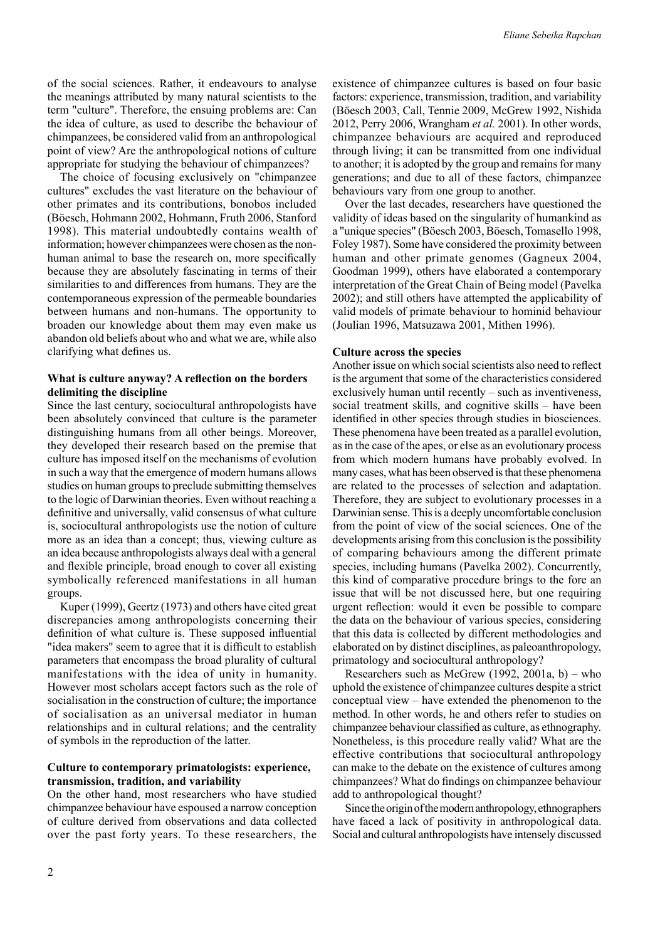of the social sciences. Rather, it endeavours to analyse the meanings attributed by many natural scientists to the term "culture". Therefore, the ensuing problems are: Can the idea of culture, as used to describe the behaviour of chimpanzees, be considered valid from an anthropological point of view? Are the anthropological notions of culture appropriate for studying the behaviour of chimpanzees?

The choice of focusing exclusively on "chimpanzee cultures" excludes the vast literature on the behaviour of other primates and its contributions, bonobos included (Böesch, Hohmann 2002, Hohmann, Fruth 2006, Stanford 1998). This material undoubtedly contains wealth of information; however chimpanzees were chosen as the nonhuman animal to base the research on, more specifically because they are absolutely fascinating in terms of their similarities to and differences from humans. They are the contemporaneous expression of the permeable boundaries between humans and non-humans. The opportunity to broaden our knowledge about them may even make us abandon old beliefs about who and what we are, while also clarifying what defines us.

## **What is culture anyway? A reflection on the borders delimiting the discipline**

Since the last century, sociocultural anthropologists have been absolutely convinced that culture is the parameter distinguishing humans from all other beings. Moreover, they developed their research based on the premise that culture has imposed itself on the mechanisms of evolution in such a way that the emergence of modern humans allows studies on human groups to preclude submitting themselves to the logic of Darwinian theories. Even without reaching a definitive and universally, valid consensus of what culture is, sociocultural anthropologists use the notion of culture more as an idea than a concept; thus, viewing culture as an idea because anthropologists always deal with a general and flexible principle, broad enough to cover all existing symbolically referenced manifestations in all human groups.

Kuper (1999), Geertz (1973) and others have cited great discrepancies among anthropologists concerning their definition of what culture is. These supposed influential "idea makers" seem to agree that it is difficult to establish parameters that encompass the broad plurality of cultural manifestations with the idea of unity in humanity. However most scholars accept factors such as the role of socialisation in the construction of culture; the importance of socialisation as an universal mediator in human relationships and in cultural relations; and the centrality of symbols in the reproduction of the latter.

## **Culture to contemporary primatologists: experience, transmission, tradition, and variability**

On the other hand, most researchers who have studied chimpanzee behaviour have espoused a narrow conception of culture derived from observations and data collected over the past forty years. To these researchers, the existence of chimpanzee cultures is based on four basic factors: experience, transmission, tradition, and variability (Böesch 2003, Call, Tennie 2009, McGrew 1992, Nishida 2012, Perry 2006, Wrangham *et al.* 2001). In other words, chimpanzee behaviours are acquired and reproduced through living; it can be transmitted from one individual to another; it is adopted by the group and remains for many generations; and due to all of these factors, chimpanzee behaviours vary from one group to another.

Over the last decades, researchers have questioned the validity of ideas based on the singularity of humankind as a "unique species" (Böesch 2003, Böesch, Tomasello 1998, Foley 1987). Some have considered the proximity between human and other primate genomes (Gagneux 2004, Goodman 1999), others have elaborated a contemporary interpretation of the Great Chain of Being model (Pavelka 2002); and still others have attempted the applicability of valid models of primate behaviour to hominid behaviour (Joulian 1996, Matsuzawa 2001, Mithen 1996).

## **Culture across the species**

Another issue on which social scientists also need to reflect is the argument that some of the characteristics considered exclusively human until recently – such as inventiveness, social treatment skills, and cognitive skills – have been identified in other species through studies in biosciences. These phenomena have been treated as a parallel evolution, as in the case of the apes, or else as an evolutionary process from which modern humans have probably evolved. In many cases, what has been observed is that these phenomena are related to the processes of selection and adaptation. Therefore, they are subject to evolutionary processes in a Darwinian sense. This is a deeply uncomfortable conclusion from the point of view of the social sciences. One of the developments arising from this conclusion is the possibility of comparing behaviours among the different primate species, including humans (Pavelka 2002). Concurrently, this kind of comparative procedure brings to the fore an issue that will be not discussed here, but one requiring urgent reflection: would it even be possible to compare the data on the behaviour of various species, considering that this data is collected by different methodologies and elaborated on by distinct disciplines, as paleoanthropology, primatology and sociocultural anthropology?

Researchers such as McGrew (1992, 2001a, b) – who uphold the existence of chimpanzee cultures despite a strict conceptual view – have extended the phenomenon to the method. In other words, he and others refer to studies on chimpanzee behaviour classified as culture, as ethnography. Nonetheless, is this procedure really valid? What are the effective contributions that sociocultural anthropology can make to the debate on the existence of cultures among chimpanzees? What do findings on chimpanzee behaviour add to anthropological thought?

Since the origin of the modern anthropology, ethnographers have faced a lack of positivity in anthropological data. Social and cultural anthropologists have intensely discussed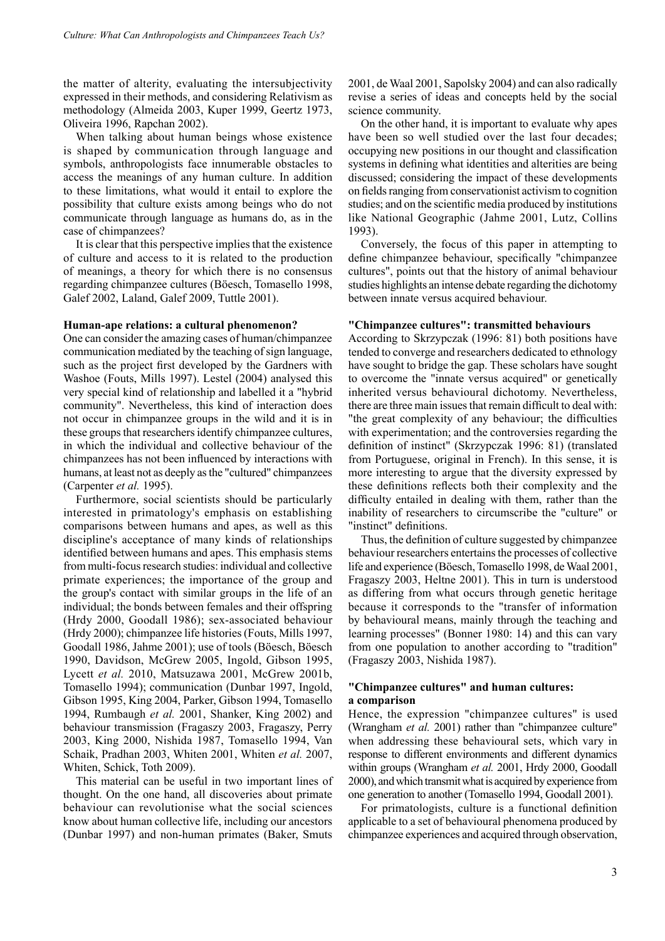the matter of alterity, evaluating the intersubjectivity expressed in their methods, and considering Relativism as methodology (Almeida 2003, Kuper 1999, Geertz 1973, Oliveira 1996, Rapchan 2002).

When talking about human beings whose existence is shaped by communication through language and symbols, anthropologists face innumerable obstacles to access the meanings of any human culture. In addition to these limitations, what would it entail to explore the possibility that culture exists among beings who do not communicate through language as humans do, as in the case of chimpanzees?

It is clear that this perspective implies that the existence of culture and access to it is related to the production of meanings, a theory for which there is no consensus regarding chimpanzee cultures (Böesch, Tomasello 1998, Galef 2002, Laland, Galef 2009, Tuttle 2001).

#### **Human-ape relations: a cultural phenomenon?**

One can consider the amazing cases of human/chimpanzee communication mediated by the teaching of sign language, such as the project first developed by the Gardners with Washoe (Fouts, Mills 1997). Lestel (2004) analysed this very special kind of relationship and labelled it a "hybrid community". Nevertheless, this kind of interaction does not occur in chimpanzee groups in the wild and it is in these groups that researchers identify chimpanzee cultures, in which the individual and collective behaviour of the chimpanzees has not been influenced by interactions with humans, at least not as deeply as the "cultured" chimpanzees (Carpenter *et al.* 1995).

Furthermore, social scientists should be particularly interested in primatology's emphasis on establishing comparisons between humans and apes, as well as this discipline's acceptance of many kinds of relationships identified between humans and apes. This emphasis stems from multi-focus research studies: individual and collective primate experiences; the importance of the group and the group's contact with similar groups in the life of an individual; the bonds between females and their offspring (Hrdy 2000, Goodall 1986); sex-associated behaviour (Hrdy 2000); chimpanzee life histories (Fouts, Mills 1997, Goodall 1986, Jahme 2001); use of tools (Böesch, Böesch 1990, Davidson, McGrew 2005, Ingold, Gibson 1995, Lycett *et al.* 2010, Matsuzawa 2001, McGrew 2001b, Tomasello 1994); communication (Dunbar 1997, Ingold, Gibson 1995, King 2004, Parker, Gibson 1994, Tomasello 1994, Rumbaugh *et al.* 2001, Shanker, King 2002) and behaviour transmission (Fragaszy 2003, Fragaszy, Perry 2003, King 2000, Nishida 1987, Tomasello 1994, Van Schaik, Pradhan 2003, Whiten 2001, Whiten *et al.* 2007, Whiten, Schick, Toth 2009).

This material can be useful in two important lines of thought. On the one hand, all discoveries about primate behaviour can revolutionise what the social sciences know about human collective life, including our ancestors (Dunbar 1997) and non-human primates (Baker, Smuts

2001, de Waal 2001, Sapolsky 2004) and can also radically revise a series of ideas and concepts held by the social science community.

On the other hand, it is important to evaluate why apes have been so well studied over the last four decades; occupying new positions in our thought and classification systems in defining what identities and alterities are being discussed; considering the impact of these developments on fields ranging from conservationist activism to cognition studies; and on the scientific media produced by institutions like National Geographic (Jahme 2001, Lutz, Collins 1993).

Conversely, the focus of this paper in attempting to define chimpanzee behaviour, specifically "chimpanzee cultures", points out that the history of animal behaviour studies highlights an intense debate regarding the dichotomy between innate versus acquired behaviour.

#### **"Chimpanzee cultures": transmitted behaviours**

According to Skrzypczak (1996: 81) both positions have tended to converge and researchers dedicated to ethnology have sought to bridge the gap. These scholars have sought to overcome the "innate versus acquired" or genetically inherited versus behavioural dichotomy. Nevertheless, there are three main issues that remain difficult to deal with: "the great complexity of any behaviour; the difficulties with experimentation; and the controversies regarding the definition of instinct" (Skrzypczak 1996: 81) (translated from Portuguese, original in French). In this sense, it is more interesting to argue that the diversity expressed by these definitions reflects both their complexity and the difficulty entailed in dealing with them, rather than the inability of researchers to circumscribe the "culture" or "instinct" definitions.

Thus, the definition of culture suggested by chimpanzee behaviour researchers entertains the processes of collective life and experience (Böesch, Tomasello 1998, de Waal 2001, Fragaszy 2003, Heltne 2001). This in turn is understood as differing from what occurs through genetic heritage because it corresponds to the "transfer of information by behavioural means, mainly through the teaching and learning processes" (Bonner 1980: 14) and this can vary from one population to another according to "tradition" (Fragaszy 2003, Nishida 1987).

#### **"Chimpanzee cultures" and human cultures: a comparison**

Hence, the expression "chimpanzee cultures" is used (Wrangham *et al.* 2001) rather than "chimpanzee culture" when addressing these behavioural sets, which vary in response to different environments and different dynamics within groups (Wrangham *et al.* 2001, Hrdy 2000, Goodall 2000), and which transmit what is acquired by experience from one generation to another (Tomasello 1994, Goodall 2001).

For primatologists, culture is a functional definition applicable to a set of behavioural phenomena produced by chimpanzee experiences and acquired through observation,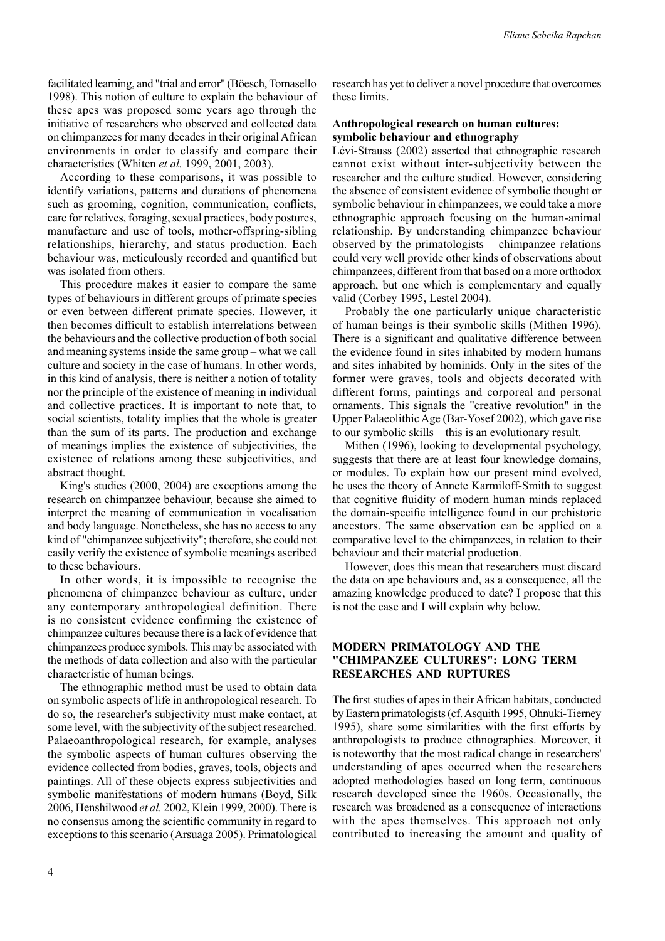facilitated learning, and "trial and error" (Böesch, Tomasello 1998). This notion of culture to explain the behaviour of these apes was proposed some years ago through the initiative of researchers who observed and collected data on chimpanzees for many decades in their original African environments in order to classify and compare their characteristics (Whiten *et al.* 1999, 2001, 2003).

According to these comparisons, it was possible to identify variations, patterns and durations of phenomena such as grooming, cognition, communication, conflicts, care for relatives, foraging, sexual practices, body postures, manufacture and use of tools, mother-offspring-sibling relationships, hierarchy, and status production. Each behaviour was, meticulously recorded and quantified but was isolated from others.

This procedure makes it easier to compare the same types of behaviours in different groups of primate species or even between different primate species. However, it then becomes difficult to establish interrelations between the behaviours and the collective production of both social and meaning systems inside the same group – what we call culture and society in the case of humans. In other words, in this kind of analysis, there is neither a notion of totality nor the principle of the existence of meaning in individual and collective practices. It is important to note that, to social scientists, totality implies that the whole is greater than the sum of its parts. The production and exchange of meanings implies the existence of subjectivities, the existence of relations among these subjectivities, and abstract thought.

King's studies (2000, 2004) are exceptions among the research on chimpanzee behaviour, because she aimed to interpret the meaning of communication in vocalisation and body language. Nonetheless, she has no access to any kind of "chimpanzee subjectivity"; therefore, she could not easily verify the existence of symbolic meanings ascribed to these behaviours.

In other words, it is impossible to recognise the phenomena of chimpanzee behaviour as culture, under any contemporary anthropological definition. There is no consistent evidence confirming the existence of chimpanzee cultures because there is a lack of evidence that chimpanzees produce symbols. This may be associated with the methods of data collection and also with the particular characteristic of human beings.

The ethnographic method must be used to obtain data on symbolic aspects of life in anthropological research. To do so, the researcher's subjectivity must make contact, at some level, with the subjectivity of the subject researched. Palaeoanthropological research, for example, analyses the symbolic aspects of human cultures observing the evidence collected from bodies, graves, tools, objects and paintings. All of these objects express subjectivities and symbolic manifestations of modern humans (Boyd, Silk 2006, Henshilwood *et al.* 2002, Klein 1999, 2000). There is no consensus among the scientific community in regard to exceptions to this scenario (Arsuaga 2005). Primatological research has yet to deliver a novel procedure that overcomes these limits.

#### **Anthropological research on human cultures: symbolic behaviour and ethnography**

Lévi-Strauss (2002) asserted that ethnographic research cannot exist without inter-subjectivity between the researcher and the culture studied. However, considering the absence of consistent evidence of symbolic thought or symbolic behaviour in chimpanzees, we could take a more ethnographic approach focusing on the human-animal relationship. By understanding chimpanzee behaviour observed by the primatologists – chimpanzee relations could very well provide other kinds of observations about chimpanzees, different from that based on a more orthodox approach, but one which is complementary and equally valid (Corbey 1995, Lestel 2004).

Probably the one particularly unique characteristic of human beings is their symbolic skills (Mithen 1996). There is a significant and qualitative difference between the evidence found in sites inhabited by modern humans and sites inhabited by hominids. Only in the sites of the former were graves, tools and objects decorated with different forms, paintings and corporeal and personal ornaments. This signals the "creative revolution" in the Upper Palaeolithic Age (Bar-Yosef 2002), which gave rise to our symbolic skills – this is an evolutionary result.

Mithen (1996), looking to developmental psychology, suggests that there are at least four knowledge domains, or modules. To explain how our present mind evolved, he uses the theory of Annete Karmiloff-Smith to suggest that cognitive fluidity of modern human minds replaced the domain-specific intelligence found in our prehistoric ancestors. The same observation can be applied on a comparative level to the chimpanzees, in relation to their behaviour and their material production.

However, does this mean that researchers must discard the data on ape behaviours and, as a consequence, all the amazing knowledge produced to date? I propose that this is not the case and I will explain why below.

## **Modern primatology and the "chimpanzee cultures": long term researches and ruptures**

The first studies of apes in their African habitats, conducted by Eastern primatologists (cf. Asquith 1995, Ohnuki-Tierney 1995), share some similarities with the first efforts by anthropologists to produce ethnographies. Moreover, it is noteworthy that the most radical change in researchers' understanding of apes occurred when the researchers adopted methodologies based on long term, continuous research developed since the 1960s. Occasionally, the research was broadened as a consequence of interactions with the apes themselves. This approach not only contributed to increasing the amount and quality of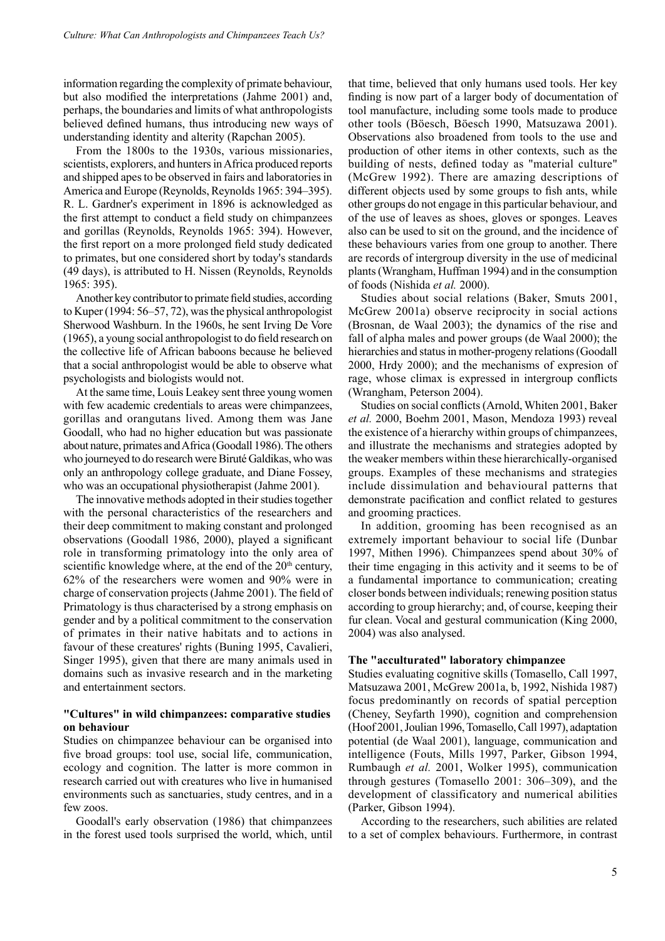information regarding the complexity of primate behaviour, but also modified the interpretations (Jahme 2001) and, perhaps, the boundaries and limits of what anthropologists believed defined humans, thus introducing new ways of understanding identity and alterity (Rapchan 2005).

From the 1800s to the 1930s, various missionaries, scientists, explorers, and hunters in Africa produced reports and shipped apes to be observed in fairs and laboratories in America and Europe (Reynolds, Reynolds 1965: 394–395). R. L. Gardner's experiment in 1896 is acknowledged as the first attempt to conduct a field study on chimpanzees and gorillas (Reynolds, Reynolds 1965: 394). However, the first report on a more prolonged field study dedicated to primates, but one considered short by today's standards (49 days), is attributed to H. Nissen (Reynolds, Reynolds 1965: 395).

Another key contributor to primate field studies, according to Kuper (1994: 56–57, 72), was the physical anthropologist Sherwood Washburn. In the 1960s, he sent Irving De Vore (1965), a young social anthropologist to do field research on the collective life of African baboons because he believed that a social anthropologist would be able to observe what psychologists and biologists would not.

At the same time, Louis Leakey sent three young women with few academic credentials to areas were chimpanzees, gorillas and orangutans lived. Among them was Jane Goodall, who had no higher education but was passionate about nature, primates and Africa (Goodall 1986). The others who journeyed to do research were Biruté Galdikas, who was only an anthropology college graduate, and Diane Fossey, who was an occupational physiotherapist (Jahme 2001).

The innovative methods adopted in their studies together with the personal characteristics of the researchers and their deep commitment to making constant and prolonged observations (Goodall 1986, 2000), played a significant role in transforming primatology into the only area of scientific knowledge where, at the end of the  $20<sup>th</sup>$  century, 62% of the researchers were women and 90% were in charge of conservation projects (Jahme 2001). The field of Primatology is thus characterised by a strong emphasis on gender and by a political commitment to the conservation of primates in their native habitats and to actions in favour of these creatures' rights (Buning 1995, Cavalieri, Singer 1995), given that there are many animals used in domains such as invasive research and in the marketing and entertainment sectors.

## **"Cultures" in wild chimpanzees: comparative studies on behaviour**

Studies on chimpanzee behaviour can be organised into five broad groups: tool use, social life, communication, ecology and cognition. The latter is more common in research carried out with creatures who live in humanised environments such as sanctuaries, study centres, and in a few zoos.

Goodall's early observation (1986) that chimpanzees in the forest used tools surprised the world, which, until that time, believed that only humans used tools. Her key finding is now part of a larger body of documentation of tool manufacture, including some tools made to produce other tools (Böesch, Böesch 1990, Matsuzawa 2001). Observations also broadened from tools to the use and production of other items in other contexts, such as the building of nests, defined today as "material culture" (McGrew 1992). There are amazing descriptions of different objects used by some groups to fish ants, while other groups do not engage in this particular behaviour, and of the use of leaves as shoes, gloves or sponges. Leaves also can be used to sit on the ground, and the incidence of these behaviours varies from one group to another. There are records of intergroup diversity in the use of medicinal plants (Wrangham, Huffman 1994) and in the consumption of foods (Nishida *et al.* 2000).

Studies about social relations (Baker, Smuts 2001, McGrew 2001a) observe reciprocity in social actions (Brosnan, de Waal 2003); the dynamics of the rise and fall of alpha males and power groups (de Waal 2000); the hierarchies and status in mother-progeny relations (Goodall 2000, Hrdy 2000); and the mechanisms of expresion of rage, whose climax is expressed in intergroup conflicts (Wrangham, Peterson 2004).

Studies on social conflicts (Arnold, Whiten 2001, Baker *et al.* 2000, Boehm 2001, Mason, Mendoza 1993) reveal the existence of a hierarchy within groups of chimpanzees, and illustrate the mechanisms and strategies adopted by the weaker members within these hierarchically-organised groups. Examples of these mechanisms and strategies include dissimulation and behavioural patterns that demonstrate pacification and conflict related to gestures and grooming practices.

In addition, grooming has been recognised as an extremely important behaviour to social life (Dunbar 1997, Mithen 1996). Chimpanzees spend about 30% of their time engaging in this activity and it seems to be of a fundamental importance to communication; creating closer bonds between individuals; renewing position status according to group hierarchy; and, of course, keeping their fur clean. Vocal and gestural communication (King 2000, 2004) was also analysed.

#### **The "acculturated" laboratory chimpanzee**

Studies evaluating cognitive skills (Tomasello, Call 1997, Matsuzawa 2001, McGrew 2001a, b, 1992, Nishida 1987) focus predominantly on records of spatial perception (Cheney, Seyfarth 1990), cognition and comprehension (Hoof 2001, Joulian 1996, Tomasello, Call 1997), adaptation potential (de Waal 2001), language, communication and intelligence (Fouts, Mills 1997, Parker, Gibson 1994, Rumbaugh *et al.* 2001, Wolker 1995), communication through gestures (Tomasello 2001: 306–309), and the development of classificatory and numerical abilities (Parker, Gibson 1994).

According to the researchers, such abilities are related to a set of complex behaviours. Furthermore, in contrast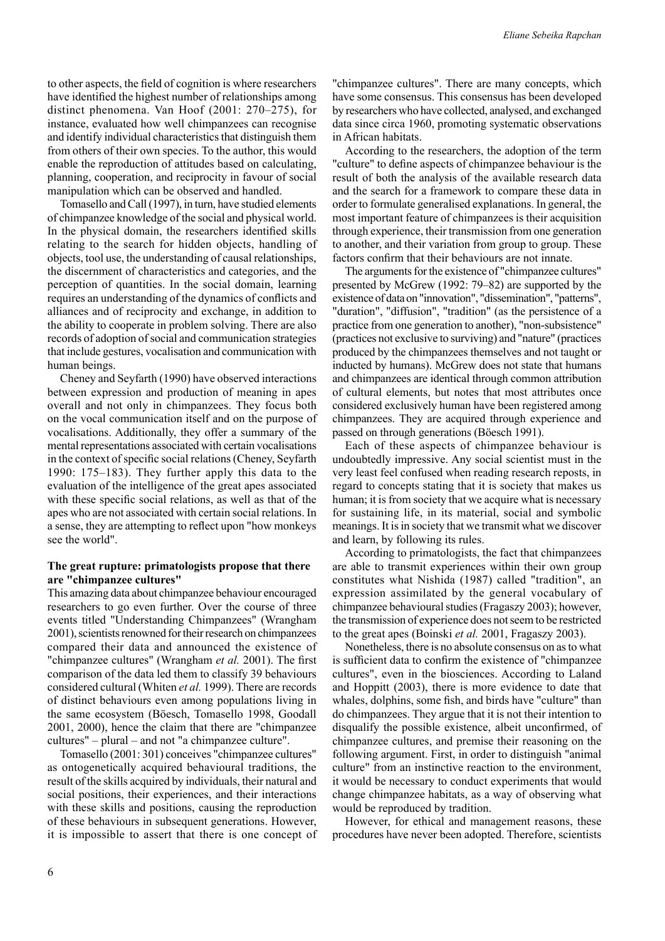to other aspects, the field of cognition is where researchers have identified the highest number of relationships among distinct phenomena. Van Hoof (2001: 270–275), for instance, evaluated how well chimpanzees can recognise and identify individual characteristics that distinguish them from others of their own species. To the author, this would enable the reproduction of attitudes based on calculating, planning, cooperation, and reciprocity in favour of social manipulation which can be observed and handled.

Tomasello and Call (1997), in turn, have studied elements of chimpanzee knowledge of the social and physical world. In the physical domain, the researchers identified skills relating to the search for hidden objects, handling of objects, tool use, the understanding of causal relationships, the discernment of characteristics and categories, and the perception of quantities. In the social domain, learning requires an understanding of the dynamics of conflicts and alliances and of reciprocity and exchange, in addition to the ability to cooperate in problem solving. There are also records of adoption of social and communication strategies that include gestures, vocalisation and communication with human beings.

Cheney and Seyfarth (1990) have observed interactions between expression and production of meaning in apes overall and not only in chimpanzees. They focus both on the vocal communication itself and on the purpose of vocalisations. Additionally, they offer a summary of the mental representations associated with certain vocalisations in the context of specific social relations (Cheney, Seyfarth 1990: 175–183). They further apply this data to the evaluation of the intelligence of the great apes associated with these specific social relations, as well as that of the apes who are not associated with certain social relations. In a sense, they are attempting to reflect upon "how monkeys see the world".

## **The great rupture: primatologists propose that there are "chimpanzee cultures"**

This amazing data about chimpanzee behaviour encouraged researchers to go even further. Over the course of three events titled "Understanding Chimpanzees" (Wrangham 2001), scientists renowned for their research on chimpanzees compared their data and announced the existence of "chimpanzee cultures" (Wrangham *et al.* 2001). The first comparison of the data led them to classify 39 behaviours considered cultural (Whiten *et al.* 1999). There are records of distinct behaviours even among populations living in the same ecosystem (Böesch, Tomasello 1998, Goodall 2001, 2000), hence the claim that there are "chimpanzee cultures" – plural – and not "a chimpanzee culture".

Tomasello (2001: 301) conceives "chimpanzee cultures" as ontogenetically acquired behavioural traditions, the result of the skills acquired by individuals, their natural and social positions, their experiences, and their interactions with these skills and positions, causing the reproduction of these behaviours in subsequent generations. However, it is impossible to assert that there is one concept of "chimpanzee cultures". There are many concepts, which have some consensus. This consensus has been developed by researchers who have collected, analysed, and exchanged data since circa 1960, promoting systematic observations in African habitats.

According to the researchers, the adoption of the term "culture" to define aspects of chimpanzee behaviour is the result of both the analysis of the available research data and the search for a framework to compare these data in order to formulate generalised explanations. In general, the most important feature of chimpanzees is their acquisition through experience, their transmission from one generation to another, and their variation from group to group. These factors confirm that their behaviours are not innate.

The arguments for the existence of "chimpanzee cultures" presented by McGrew (1992: 79–82) are supported by the existence of data on "innovation", "dissemination", "patterns", "duration", "diffusion", "tradition" (as the persistence of a practice from one generation to another), "non-subsistence" (practices not exclusive to surviving) and "nature" (practices produced by the chimpanzees themselves and not taught or inducted by humans). McGrew does not state that humans and chimpanzees are identical through common attribution of cultural elements, but notes that most attributes once considered exclusively human have been registered among chimpanzees. They are acquired through experience and passed on through generations (Böesch 1991).

Each of these aspects of chimpanzee behaviour is undoubtedly impressive. Any social scientist must in the very least feel confused when reading research reposts, in regard to concepts stating that it is society that makes us human; it is from society that we acquire what is necessary for sustaining life, in its material, social and symbolic meanings. It is in society that we transmit what we discover and learn, by following its rules.

According to primatologists, the fact that chimpanzees are able to transmit experiences within their own group constitutes what Nishida (1987) called "tradition", an expression assimilated by the general vocabulary of chimpanzee behavioural studies (Fragaszy 2003); however, the transmission of experience does not seem to be restricted to the great apes (Boinski *et al.* 2001, Fragaszy 2003).

Nonetheless, there is no absolute consensus on as to what is sufficient data to confirm the existence of "chimpanzee cultures", even in the biosciences. According to Laland and Hoppitt (2003), there is more evidence to date that whales, dolphins, some fish, and birds have "culture" than do chimpanzees. They argue that it is not their intention to disqualify the possible existence, albeit unconfirmed, of chimpanzee cultures, and premise their reasoning on the following argument. First, in order to distinguish "animal culture" from an instinctive reaction to the environment, it would be necessary to conduct experiments that would change chimpanzee habitats, as a way of observing what would be reproduced by tradition.

However, for ethical and management reasons, these procedures have never been adopted. Therefore, scientists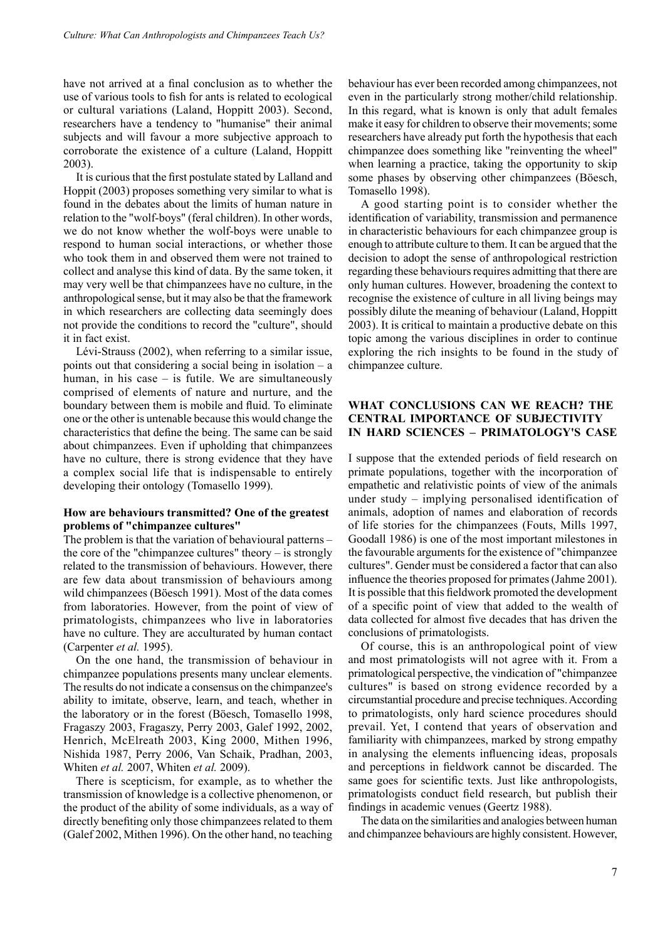have not arrived at a final conclusion as to whether the use of various tools to fish for ants is related to ecological or cultural variations (Laland, Hoppitt 2003). Second, researchers have a tendency to "humanise" their animal subjects and will favour a more subjective approach to corroborate the existence of a culture (Laland, Hoppitt 2003).

It is curious that the first postulate stated by Lalland and Hoppit (2003) proposes something very similar to what is found in the debates about the limits of human nature in relation to the "wolf-boys" (feral children). In other words, we do not know whether the wolf-boys were unable to respond to human social interactions, or whether those who took them in and observed them were not trained to collect and analyse this kind of data. By the same token, it may very well be that chimpanzees have no culture, in the anthropological sense, but it may also be that the framework in which researchers are collecting data seemingly does not provide the conditions to record the "culture", should it in fact exist.

Lévi-Strauss (2002), when referring to a similar issue, points out that considering a social being in isolation – a human, in his case – is futile. We are simultaneously comprised of elements of nature and nurture, and the boundary between them is mobile and fluid. To eliminate one or the other is untenable because this would change the characteristics that define the being. The same can be said about chimpanzees. Even if upholding that chimpanzees have no culture, there is strong evidence that they have a complex social life that is indispensable to entirely developing their ontology (Tomasello 1999).

## **How are behaviours transmitted? One of the greatest problems of "chimpanzee cultures"**

The problem is that the variation of behavioural patterns – the core of the "chimpanzee cultures" theory – is strongly related to the transmission of behaviours. However, there are few data about transmission of behaviours among wild chimpanzees (Böesch 1991). Most of the data comes from laboratories. However, from the point of view of primatologists, chimpanzees who live in laboratories have no culture. They are acculturated by human contact (Carpenter *et al.* 1995).

On the one hand, the transmission of behaviour in chimpanzee populations presents many unclear elements. The results do not indicate a consensus on the chimpanzee's ability to imitate, observe, learn, and teach, whether in the laboratory or in the forest (Böesch, Tomasello 1998, Fragaszy 2003, Fragaszy, Perry 2003, Galef 1992, 2002, Henrich, McElreath 2003, King 2000, Mithen 1996, Nishida 1987, Perry 2006, Van Schaik, Pradhan, 2003, Whiten *et al.* 2007, Whiten *et al.* 2009).

There is scepticism, for example, as to whether the transmission of knowledge is a collective phenomenon, or the product of the ability of some individuals, as a way of directly benefiting only those chimpanzees related to them (Galef 2002, Mithen 1996). On the other hand, no teaching behaviour has ever been recorded among chimpanzees, not even in the particularly strong mother/child relationship. In this regard, what is known is only that adult females make it easy for children to observe their movements; some researchers have already put forth the hypothesis that each chimpanzee does something like "reinventing the wheel" when learning a practice, taking the opportunity to skip some phases by observing other chimpanzees (Böesch, Tomasello 1998).

A good starting point is to consider whether the identification of variability, transmission and permanence in characteristic behaviours for each chimpanzee group is enough to attribute culture to them. It can be argued that the decision to adopt the sense of anthropological restriction regarding these behaviours requires admitting that there are only human cultures. However, broadening the context to recognise the existence of culture in all living beings may possibly dilute the meaning of behaviour (Laland, Hoppitt 2003). It is critical to maintain a productive debate on this topic among the various disciplines in order to continue exploring the rich insights to be found in the study of chimpanzee culture.

## **What conclusions can we reach? The central importance of subjectivity in hard sciences – Primatology's case**

I suppose that the extended periods of field research on primate populations, together with the incorporation of empathetic and relativistic points of view of the animals under study – implying personalised identification of animals, adoption of names and elaboration of records of life stories for the chimpanzees (Fouts, Mills 1997, Goodall 1986) is one of the most important milestones in the favourable arguments for the existence of "chimpanzee cultures". Gender must be considered a factor that can also influence the theories proposed for primates (Jahme 2001). It is possible that this fieldwork promoted the development of a specific point of view that added to the wealth of data collected for almost five decades that has driven the conclusions of primatologists.

Of course, this is an anthropological point of view and most primatologists will not agree with it. From a primatological perspective, the vindication of "chimpanzee cultures" is based on strong evidence recorded by a circumstantial procedure and precise techniques. According to primatologists, only hard science procedures should prevail. Yet, I contend that years of observation and familiarity with chimpanzees, marked by strong empathy in analysing the elements influencing ideas, proposals and perceptions in fieldwork cannot be discarded. The same goes for scientific texts. Just like anthropologists, primatologists conduct field research, but publish their findings in academic venues (Geertz 1988).

The data on the similarities and analogies between human and chimpanzee behaviours are highly consistent. However,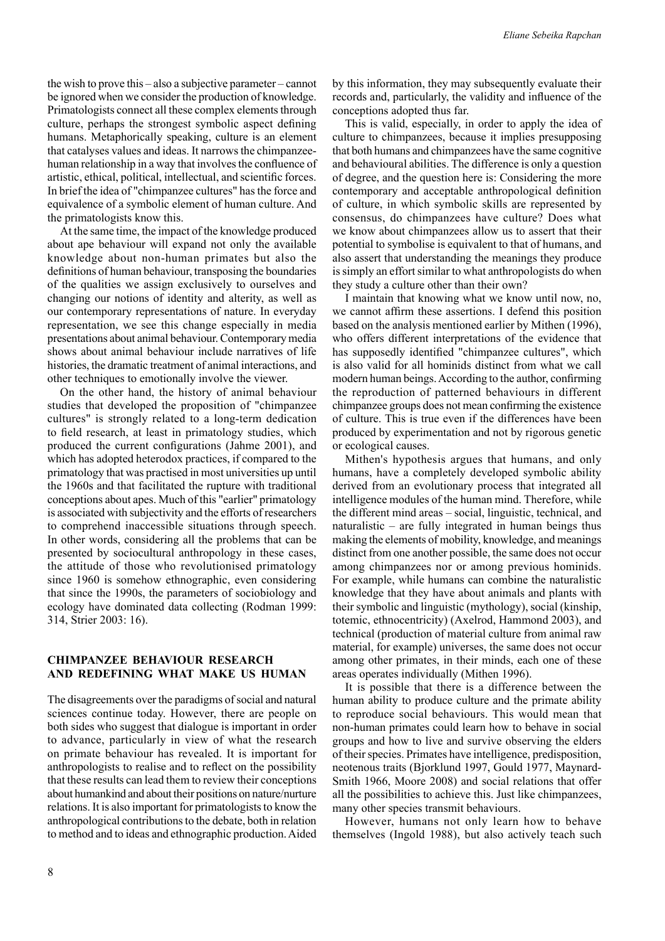the wish to prove this – also a subjective parameter – cannot be ignored when we consider the production of knowledge. Primatologists connect all these complex elements through culture, perhaps the strongest symbolic aspect defining humans. Metaphorically speaking, culture is an element that catalyses values and ideas. It narrows the chimpanzeehuman relationship in a way that involves the confluence of artistic, ethical, political, intellectual, and scientific forces. In brief the idea of "chimpanzee cultures" has the force and equivalence of a symbolic element of human culture. And the primatologists know this.

At the same time, the impact of the knowledge produced about ape behaviour will expand not only the available knowledge about non-human primates but also the definitions of human behaviour, transposing the boundaries of the qualities we assign exclusively to ourselves and changing our notions of identity and alterity, as well as our contemporary representations of nature. In everyday representation, we see this change especially in media presentations about animal behaviour. Contemporary media shows about animal behaviour include narratives of life histories, the dramatic treatment of animal interactions, and other techniques to emotionally involve the viewer.

On the other hand, the history of animal behaviour studies that developed the proposition of "chimpanzee cultures" is strongly related to a long-term dedication to field research, at least in primatology studies, which produced the current configurations (Jahme 2001), and which has adopted heterodox practices, if compared to the primatology that was practised in most universities up until the 1960s and that facilitated the rupture with traditional conceptions about apes. Much of this "earlier" primatology is associated with subjectivity and the efforts of researchers to comprehend inaccessible situations through speech. In other words, considering all the problems that can be presented by sociocultural anthropology in these cases, the attitude of those who revolutionised primatology since 1960 is somehow ethnographic, even considering that since the 1990s, the parameters of sociobiology and ecology have dominated data collecting (Rodman 1999: 314, Strier 2003: 16).

## **Chimpanzee behaviour research and redefining what make us human**

The disagreements over the paradigms of social and natural sciences continue today. However, there are people on both sides who suggest that dialogue is important in order to advance, particularly in view of what the research on primate behaviour has revealed. It is important for anthropologists to realise and to reflect on the possibility that these results can lead them to review their conceptions about humankind and about their positions on nature/nurture relations. It is also important for primatologists to know the anthropological contributions to the debate, both in relation to method and to ideas and ethnographic production. Aided by this information, they may subsequently evaluate their records and, particularly, the validity and influence of the conceptions adopted thus far.

This is valid, especially, in order to apply the idea of culture to chimpanzees, because it implies presupposing that both humans and chimpanzees have the same cognitive and behavioural abilities. The difference is only a question of degree, and the question here is: Considering the more contemporary and acceptable anthropological definition of culture, in which symbolic skills are represented by consensus, do chimpanzees have culture? Does what we know about chimpanzees allow us to assert that their potential to symbolise is equivalent to that of humans, and also assert that understanding the meanings they produce is simply an effort similar to what anthropologists do when they study a culture other than their own?

I maintain that knowing what we know until now, no, we cannot affirm these assertions. I defend this position based on the analysis mentioned earlier by Mithen (1996), who offers different interpretations of the evidence that has supposedly identified "chimpanzee cultures", which is also valid for all hominids distinct from what we call modern human beings. According to the author, confirming the reproduction of patterned behaviours in different chimpanzee groups does not mean confirming the existence of culture. This is true even if the differences have been produced by experimentation and not by rigorous genetic or ecological causes.

Mithen's hypothesis argues that humans, and only humans, have a completely developed symbolic ability derived from an evolutionary process that integrated all intelligence modules of the human mind. Therefore, while the different mind areas – social, linguistic, technical, and naturalistic – are fully integrated in human beings thus making the elements of mobility, knowledge, and meanings distinct from one another possible, the same does not occur among chimpanzees nor or among previous hominids. For example, while humans can combine the naturalistic knowledge that they have about animals and plants with their symbolic and linguistic (mythology), social (kinship, totemic, ethnocentricity) (Axelrod, Hammond 2003), and technical (production of material culture from animal raw material, for example) universes, the same does not occur among other primates, in their minds, each one of these areas operates individually (Mithen 1996).

It is possible that there is a difference between the human ability to produce culture and the primate ability to reproduce social behaviours. This would mean that non-human primates could learn how to behave in social groups and how to live and survive observing the elders of their species. Primates have intelligence, predisposition, neotenous traits (Bjorklund 1997, Gould 1977, Maynard-Smith 1966, Moore 2008) and social relations that offer all the possibilities to achieve this. Just like chimpanzees, many other species transmit behaviours.

However, humans not only learn how to behave themselves (Ingold 1988), but also actively teach such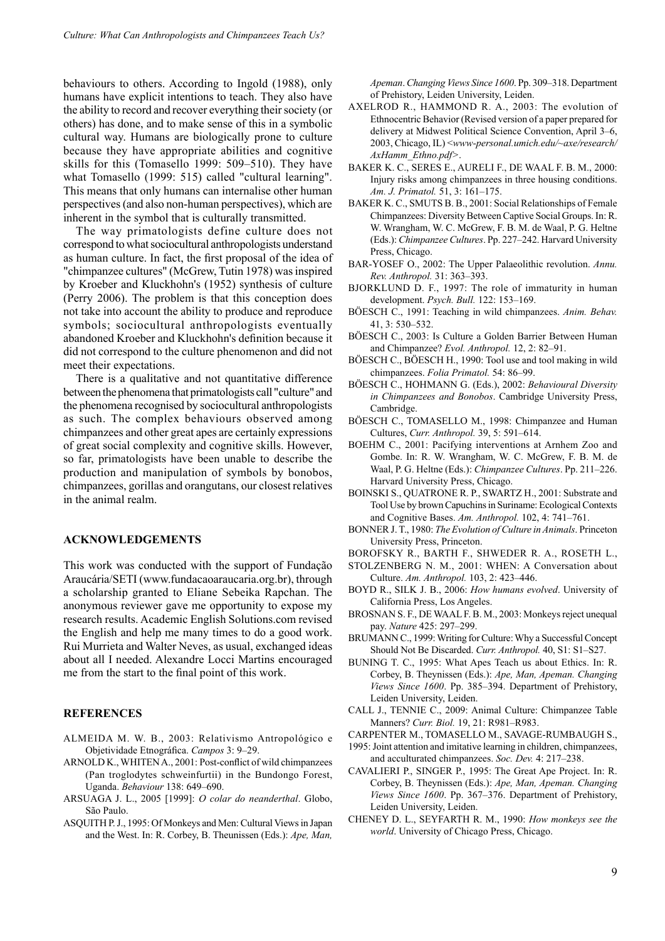behaviours to others. According to Ingold (1988), only humans have explicit intentions to teach. They also have the ability to record and recover everything their society (or others) has done, and to make sense of this in a symbolic cultural way. Humans are biologically prone to culture because they have appropriate abilities and cognitive skills for this (Tomasello 1999: 509–510). They have what Tomasello (1999: 515) called "cultural learning". This means that only humans can internalise other human perspectives (and also non-human perspectives), which are inherent in the symbol that is culturally transmitted.

The way primatologists define culture does not correspond to what sociocultural anthropologists understand as human culture. In fact, the first proposal of the idea of "chimpanzee cultures" (McGrew, Tutin 1978) was inspired by Kroeber and Kluckhohn's (1952) synthesis of culture (Perry 2006). The problem is that this conception does not take into account the ability to produce and reproduce symbols; sociocultural anthropologists eventually abandoned Kroeber and Kluckhohn's definition because it did not correspond to the culture phenomenon and did not meet their expectations.

There is a qualitative and not quantitative difference between the phenomena that primatologists call "culture" and the phenomena recognised by sociocultural anthropologists as such. The complex behaviours observed among chimpanzees and other great apes are certainly expressions of great social complexity and cognitive skills. However, so far, primatologists have been unable to describe the production and manipulation of symbols by bonobos, chimpanzees, gorillas and orangutans, our closest relatives in the animal realm.

#### **acknowledgements**

This work was conducted with the support of Fundação Araucária/SETI (www.fundacaoaraucaria.org.br), through a scholarship granted to Eliane Sebeika Rapchan. The anonymous reviewer gave me opportunity to expose my research results. Academic English Solutions.com revised the English and help me many times to do a good work. Rui Murrieta and Walter Neves, as usual, exchanged ideas about all I needed. Alexandre Locci Martins encouraged me from the start to the final point of this work.

## **References**

- ALMEIDA M. W. B., 2003: Relativismo Antropológico e Objetividade Etnográfica. *Campos* 3: 9–29.
- ARNOLD K., WHITEN A., 2001: Post-conflict of wild chimpanzees (Pan troglodytes schweinfurtii) in the Bundongo Forest, Uganda. *Behaviour* 138: 649–690.
- ARSUAGA J. L., 2005 [1999]: *O colar do neanderthal*. Globo, São Paulo.
- ASQUITH P. J., 1995: Of Monkeys and Men: Cultural Views in Japan and the West. In: R. Corbey, B. Theunissen (Eds.): *Ape, Man,*

*Apeman*. *Changing Views Since 1600*. Pp. 309–318. Department of Prehistory, Leiden University, Leiden.

- AXELROD R., HAMMOND R. A., 2003: The evolution of Ethnocentric Behavior (Revised version of a paper prepared for delivery at Midwest Political Science Convention, April 3–6, 2003, Chicago, IL) <*www-personal.umich.edu/~axe/research/ AxHamm\_Ethno.pdf>*.
- BAKER K. C., Seres E., Aureli F., de Waal F. B. M., 2000: Injury risks among chimpanzees in three housing conditions. *Am. J. Primatol.* 51, 3: 161–175.
- BAKER K. C., SMUTS B. B., 2001: Social Relationships of Female Chimpanzees: Diversity Between Captive Social Groups. In: R. W. Wrangham, W. C. McGrew, F. B. M. de Waal, P. G. Heltne (Eds.): *Chimpanzee Cultures*. Pp. 227–242. Harvard University Press, Chicago.
- BAR-YOSEF O., 2002: The Upper Palaeolithic revolution. *Annu. Rev. Anthropol.* 31: 363–393.
- BJORKLUND D. F., 1997: The role of immaturity in human development. *Psych. Bull.* 122: 153–169.
- BÖESCH C., 1991: Teaching in wild chimpanzees. *Anim. Behav.* 41, 3: 530–532.
- BÖESCH C., 2003: Is Culture a Golden Barrier Between Human and Chimpanzee? *Evol. Anthropol.* 12, 2: 82–91.
- BÖESCH C., BÖESCH H., 1990: Tool use and tool making in wild chimpanzees. *Folia Primatol.* 54: 86–99.
- BÖESCH C., HOHMANN G. (Eds.), 2002: *Behavioural Diversity in Chimpanzees and Bonobos*. Cambridge University Press, Cambridge.
- BÖESCH C., TOMASELLO M., 1998: Chimpanzee and Human Cultures, *Curr. Anthropol.* 39, 5: 591–614.
- BOEHM C., 2001: Pacifying interventions at Arnhem Zoo and Gombe. In: R. W. Wrangham, W. C. McGrew, F. B. M. de Waal, P. G. Heltne (Eds.): *Chimpanzee Cultures*. Pp. 211–226. Harvard University Press, Chicago.
- BOINSKI S., QUATRONE R. P., SWARTZ H., 2001: Substrate and Tool Use by brown Capuchins in Suriname: Ecological Contexts and Cognitive Bases. *Am. Anthropol.* 102, 4: 741–761.
- BONNER J. T., 1980: *The Evolution of Culture in Animals*. Princeton University Press, Princeton.
- BOROFSKY R., BARTH F., SHWEDER R. A., ROSETH L.,
- STOLZENBERG N. M., 2001: WHEN: A Conversation about Culture. *Am. Anthropol.* 103, 2: 423–446.
- BOYD R., SILK J. B., 2006: *How humans evolved*. University of California Press, Los Angeles.
- BROSNAN S. F., DE WAAL F. B. M., 2003: Monkeys reject unequal pay. *Nature* 425: 297–299.
- BRUMANN C., 1999: Writing for Culture: Why a Successful Concept Should Not Be Discarded. *Curr. Anthropol.* 40, S1: S1–S27.
- BUNING T. C., 1995: What Apes Teach us about Ethics. In: R. Corbey, B. Theynissen (Eds.): *Ape, Man, Apeman. Changing Views Since 1600*. Pp. 385–394. Department of Prehistory, Leiden University, Leiden.
- CALL J., TENNIE C., 2009: Animal Culture: Chimpanzee Table Manners? *Curr. Biol.* 19, 21: R981–R983.
- CARPENTER M., TOMASELLO M., SAVAGE-RUMBAUGH S.,
- 1995: Joint attention and imitative learning in children, chimpanzees, and acculturated chimpanzees. *Soc. Dev.* 4: 217–238.
- CAVALIERI P., SINGER P., 1995: The Great Ape Project. In: R. Corbey, B. Theynissen (Eds.): *Ape, Man, Apeman. Changing Views Since 1600*. Pp. 367–376. Department of Prehistory, Leiden University, Leiden.
- CHENEY D. L., SEYFARTH R. M., 1990: *How monkeys see the world*. University of Chicago Press, Chicago.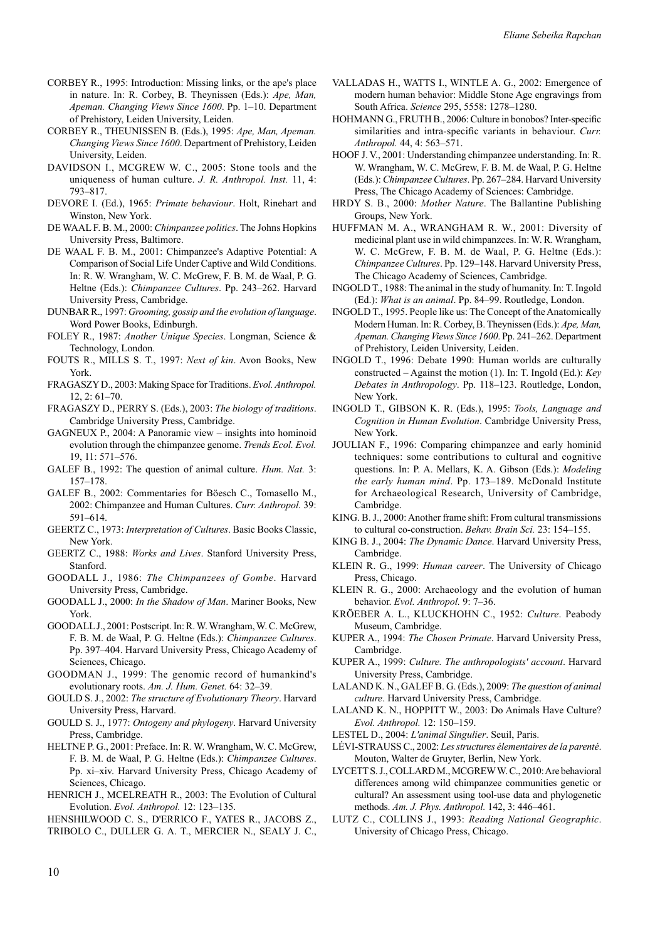- CORBEY R., 1995: Introduction: Missing links, or the ape's place in nature. In: R. Corbey, B. Theynissen (Eds.): *Ape, Man, Apeman. Changing Views Since 1600*. Pp. 1–10. Department of Prehistory, Leiden University, Leiden.
- CORBEY R., THEUNISSEN B. (Eds.), 1995: *Ape, Man, Apeman. Changing Views Since 1600*. Department of Prehistory, Leiden University, Leiden.
- DAVIDSON I., MCGREW W. C., 2005: Stone tools and the uniqueness of human culture. *J. R. Anthropol. Inst.* 11, 4: 793–817.
- DEVORE I. (Ed.), 1965: *Primate behaviour*. Holt, Rinehart and Winston, New York.
- DE WAAL F. B. M., 2000: *Chimpanzee politics*. The Johns Hopkins University Press, Baltimore.
- DE WAAL F. B. M., 2001: Chimpanzee's Adaptive Potential: A Comparison of Social Life Under Captive and Wild Conditions. In: R. W. Wrangham, W. C. McGrew, F. B. M. de Waal, P. G. Heltne (Eds.): *Chimpanzee Cultures*. Pp. 243–262. Harvard University Press, Cambridge.
- DUNBAR R., 1997: *Grooming, gossip and the evolution of language*. Word Power Books, Edinburgh.
- FOLEY R., 1987: *Another Unique Species*. Longman, Science & Technology, London.
- FOUTS R., MILLS S. T., 1997: *Next of kin*. Avon Books, New York.
- FRAGASZY D., 2003: Making Space for Traditions. *Evol. Anthropol.*  12, 2: 61–70.
- FRAGASZY D., PERRY S. (Eds.), 2003: *The biology of traditions*. Cambridge University Press, Cambridge.
- GAGNEUX P., 2004: A Panoramic view insights into hominoid evolution through the chimpanzee genome. *Trends Ecol. Evol.* 19, 11: 571–576.
- GALEF B., 1992: The question of animal culture. *Hum. Nat.* 3: 157–178.
- GALEF B., 2002: Commentaries for Böesch C., Tomasello M., 2002: Chimpanzee and Human Cultures. *Curr. Anthropol.* 39: 591–614.
- GEERTZ C., 1973: *Interpretation of Cultures*. Basic Books Classic, New York.
- GEERTZ C., 1988: *Works and Lives*. Stanford University Press, Stanford.
- GOODALL J., 1986: *The Chimpanzees of Gombe*. Harvard University Press, Cambridge.
- GOODALL J., 2000: *In the Shadow of Man*. Mariner Books, New York.
- GOODALL J., 2001: Postscript. In: R. W. Wrangham, W. C. McGrew, F. B. M. de Waal, P. G. Heltne (Eds.): *Chimpanzee Cultures*. Pp. 397–404. Harvard University Press, Chicago Academy of Sciences, Chicago.
- GOODMAN J., 1999: The genomic record of humankind's evolutionary roots. *Am. J. Hum. Genet.* 64: 32–39.
- GOULD S. J., 2002: *The structure of Evolutionary Theory*. Harvard University Press, Harvard.
- GOULD S. J., 1977: *Ontogeny and phylogeny*. Harvard University Press, Cambridge.
- HELTNE P. G., 2001: Preface. In: R. W. Wrangham, W. C. McGrew, F. B. M. de Waal, P. G. Heltne (Eds.): *Chimpanzee Cultures*. Pp. xi–xiv. Harvard University Press, Chicago Academy of Sciences, Chicago.
- HENRICH J., MCELREATH R., 2003: The Evolution of Cultural Evolution. *Evol. Anthropol.* 12: 123–135.
- HENSHILWOOD C. S., D'ERRICO F., YATES R., JACOBS Z.,
- TRIBOLO C., DULLER G. A. T., MERCIER N., SEALY J. C.,
- VALLADAS H., WATTS I., WINTLE A. G., 2002: Emergence of modern human behavior: Middle Stone Age engravings from South Africa. *Science* 295, 5558: 1278–1280.
- HOHMANN G., FRUTH B., 2006: Culture in bonobos? Inter-specific similarities and intra-specific variants in behaviour. *Curr. Anthropol.* 44, 4: 563–571.
- HOOF J. V., 2001: Understanding chimpanzee understanding. In: R. W. Wrangham, W. C. McGrew, F. B. M. de Waal, P. G. Heltne (Eds.): *Chimpanzee Cultures*. Pp. 267–284. Harvard University Press, The Chicago Academy of Sciences: Cambridge.
- HRDY S. B., 2000: *Mother Nature*. The Ballantine Publishing Groups, New York.
- HUFFMAN M. A., WRANGHAM R. W., 2001: Diversity of medicinal plant use in wild chimpanzees. In: W. R. Wrangham, W. C. McGrew, F. B. M. de Waal, P. G. Heltne (Eds.): *Chimpanzee Cultures*. Pp. 129–148. Harvard University Press, The Chicago Academy of Sciences, Cambridge.
- INGOLD T., 1988: The animal in the study of humanity. In: T. Ingold (Ed.): *What is an animal*. Pp. 84–99. Routledge, London.
- INGOLD T., 1995. People like us: The Concept of the Anatomically Modern Human. In: R. Corbey, B. Theynissen (Eds.): *Ape, Man, Apeman. Changing Views Since 1600*. Pp. 241–262. Department of Prehistory, Leiden University, Leiden.
- INGOLD T., 1996: Debate 1990: Human worlds are culturally constructed – Against the motion (1). In: T. Ingold (Ed.): *Key Debates in Anthropology*. Pp. 118–123. Routledge, London, New York.
- INGOLD T., GIBSON K. R. (Eds.), 1995: *Tools, Language and Cognition in Human Evolution*. Cambridge University Press, New York.
- JOULIAN F., 1996: Comparing chimpanzee and early hominid techniques: some contributions to cultural and cognitive questions. In: P. A. Mellars, K. A. Gibson (Eds.): *Modeling the early human mind*. Pp. 173–189. McDonald Institute for Archaeological Research, University of Cambridge, Cambridge.
- KING. B. J., 2000: Another frame shift: From cultural transmissions to cultural co-construction. *Behav. Brain Sci.* 23: 154–155.
- KING B. J., 2004: *The Dynamic Dance*. Harvard University Press, Cambridge.
- KLEIN R. G., 1999: *Human career*. The University of Chicago Press, Chicago.
- KLEIN R. G., 2000: Archaeology and the evolution of human behavior. *Evol. Anthropol.* 9: 7–36.
- KRÖEBER A. L., KLUCKHOHN C., 1952: *Culture*. Peabody Museum, Cambridge.
- KUPER A., 1994: *The Chosen Primate*. Harvard University Press, Cambridge.
- KUPER A., 1999: *Culture. The anthropologists' account*. Harvard University Press, Cambridge.
- LALAND K. N., GALEF B. G. (Eds.), 2009: *The question of animal culture*. Harvard University Press, Cambridge.
- LALAND K. N., HOPPITT W., 2003: Do Animals Have Culture? *Evol. Anthropol.* 12: 150–159.
- LESTEL D., 2004: *L'animal Singulier*. Seuil, Paris.
- LÉVI-STRAUSS C., 2002: *Les structures élementaires de la parenté*. Mouton, Walter de Gruyter, Berlin, New York.
- LYCETT S. J., COLLARD M., MCGREW W. C., 2010: Are behavioral differences among wild chimpanzee communities genetic or cultural? An assessment using tool-use data and phylogenetic methods. *Am. J. Phys. Anthropol.* 142, 3: 446–461.
- LUTZ C., COLLINS J., 1993: *Reading National Geographic*. University of Chicago Press, Chicago.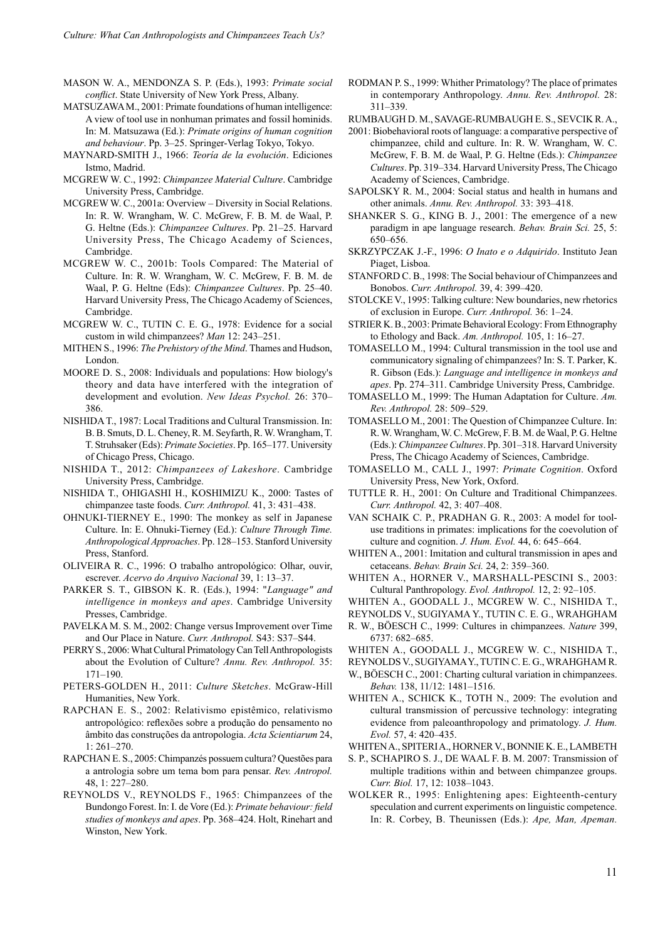MASON W. A., MENDONZA S. P. (Eds.), 1993: *Primate social conflict*. State University of New York Press, Albany.

- MATSUZAWA M., 2001: Primate foundations of human intelligence: A view of tool use in nonhuman primates and fossil hominids. In: M. Matsuzawa (Ed.): *Primate origins of human cognition and behaviour*. Pp. 3–25. Springer-Verlag Tokyo, Tokyo.
- MAYNARD-SMITH J., 1966: *Teoría de la evolución*. Ediciones Istmo, Madrid.
- MCGREW W. C., 1992: *Chimpanzee Material Culture*. Cambridge University Press, Cambridge.
- MCGREW W. C., 2001a: Overview Diversity in Social Relations. In: R. W. Wrangham, W. C. McGrew, F. B. M. de Waal, P. G. Heltne (Eds.): *Chimpanzee Cultures*. Pp. 21–25. Harvard University Press, The Chicago Academy of Sciences, Cambridge.
- MCGREW W. C., 2001b: Tools Compared: The Material of Culture. In: R. W. Wrangham, W. C. McGrew, F. B. M. de Waal, P. G. Heltne (Eds): *Chimpanzee Cultures*. Pp. 25–40. Harvard University Press, The Chicago Academy of Sciences, Cambridge.
- MCGREW W. C., TUTIN C. E. G., 1978: Evidence for a social custom in wild chimpanzees? *Man* 12: 243–251.
- MITHEN S., 1996: *The Prehistory of the Mind*. Thames and Hudson, London.
- MOORE D. S., 2008: Individuals and populations: How biology's theory and data have interfered with the integration of development and evolution. *New Ideas Psychol.* 26: 370– 386.
- NISHIDA T., 1987: Local Traditions and Cultural Transmission. In: B. B. Smuts, D. L. Cheney, R. M. Seyfarth, R. W. Wrangham, T. T. Struhsaker (Eds): *Primate Societies*. Pp. 165–177. University of Chicago Press, Chicago.
- NISHIDA T., 2012: *Chimpanzees of Lakeshore*. Cambridge University Press, Cambridge.
- NISHIDA T., OHIGASHI H., KOSHIMIZU K., 2000: Tastes of chimpanzee taste foods. *Curr. Anthropol.* 41, 3: 431–438.
- OHNUKI-TIERNEY E., 1990: The monkey as self in Japanese Culture. In: E. Ohnuki-Tierney (Ed.): *Culture Through Time. Anthropological Approaches*. Pp. 128–153. Stanford University Press, Stanford.
- OLIVEIRA R. C., 1996: O trabalho antropológico: Olhar, ouvir, escrever. *Acervo do Arquivo Nacional* 39, 1: 13–37.
- PARKER S. T., GIBSON K. R. (Eds.), 1994: "*Language" and intelligence in monkeys and apes*. Cambridge University Presses, Cambridge.
- PAVELKA M. S. M., 2002: Change versus Improvement over Time and Our Place in Nature. *Curr. Anthropol.* S43: S37–S44.
- PERRY S., 2006: What Cultural Primatology Can Tell Anthropologists about the Evolution of Culture? *Annu. Rev. Anthropol.* 35: 171–190.
- PETERS-GOLDEN H., 2011: *Culture Sketches*. McGraw-Hill Humanities, New York.
- RAPCHAN E. S., 2002: Relativismo epistêmico, relativismo antropológico: reflexões sobre a produção do pensamento no âmbito das construções da antropologia. *Acta Scientiarum* 24, 1: 261–270.
- RAPCHAN E. S., 2005: Chimpanzés possuem cultura? Questões para a antrologia sobre um tema bom para pensar. *Rev. Antropol.* 48, 1: 227–280.
- REYNOLDS V., REYNOLDS F., 1965: Chimpanzees of the Bundongo Forest. In: I. de Vore (Ed.): *Primate behaviour: field studies of monkeys and apes*. Pp. 368–424. Holt, Rinehart and Winston, New York.
- RODMAN P. S., 1999: Whither Primatology? The place of primates in contemporary Anthropology. *Annu. Rev. Anthropol.* 28: 311–339.
- RUMBAUGH D. M., SAVAGE-RUMBAUGH E. S., SEVCIK R. A.,
- 2001: Biobehavioral roots of language: a comparative perspective of chimpanzee, child and culture. In: R. W. Wrangham, W. C. McGrew, F. B. M. de Waal, P. G. Heltne (Eds.): *Chimpanzee Cultures*. Pp. 319–334. Harvard University Press, The Chicago Academy of Sciences, Cambridge.
- SAPOLSKY R. M., 2004: Social status and health in humans and other animals. *Annu. Rev. Anthropol.* 33: 393–418.
- SHANKER S. G., KING B. J., 2001: The emergence of a new paradigm in ape language research. *Behav. Brain Sci.* 25, 5: 650–656.
- SKRZYPCZAK J.-F., 1996: *O Inato e o Adquirido*. Instituto Jean Piaget, Lisboa.
- STANFORD C. B., 1998: The Social behaviour of Chimpanzees and Bonobos. *Curr. Anthropol.* 39, 4: 399–420.
- STOLCKE V., 1995: Talking culture: New boundaries, new rhetorics of exclusion in Europe. *Curr. Anthropol.* 36: 1–24.
- STRIER K. B., 2003: Primate Behavioral Ecology: From Ethnography to Ethology and Back. *Am. Anthropol.* 105, 1: 16–27.
- TOMASELLO M., 1994: Cultural transmission in the tool use and communicatory signaling of chimpanzees? In: S. T. Parker, K. R. Gibson (Eds.): *Language and intelligence in monkeys and apes*. Pp. 274–311. Cambridge University Press, Cambridge.
- TOMASELLO M., 1999: The Human Adaptation for Culture. *Am. Rev. Anthropol.* 28: 509–529.
- TOMASELLO M., 2001: The Question of Chimpanzee Culture. In: R. W. Wrangham, W. C. McGrew, F. B. M. de Waal, P. G. Heltne (Eds.): *Chimpanzee Cultures*. Pp. 301–318. Harvard University Press, The Chicago Academy of Sciences, Cambridge.
- TOMASELLO M., CALL J., 1997: *Primate Cognition*. Oxford University Press, New York, Oxford.
- TUTTLE R. H., 2001: On Culture and Traditional Chimpanzees. *Curr. Anthropol.* 42, 3: 407–408.
- VAN SCHAIK C. P., PRADHAN G. R., 2003: A model for tooluse traditions in primates: implications for the coevolution of culture and cognition. *J. Hum. Evol.* 44, 6: 645–664.
- WHITEN A., 2001: Imitation and cultural transmission in apes and cetaceans. *Behav. Brain Sci.* 24, 2: 359–360.
- WHITEN A., HORNER V., MARSHALL-PESCINI S., 2003: Cultural Panthropology. *Evol. Anthropol.* 12, 2: 92–105.

- R. W., BÖESCH C., 1999: Cultures in chimpanzees. *Nature* 399, 6737: 682–685.
- WHITEN A., GOODALL J., MCGREW W. C., NISHIDA T.,
- REYNOLDS V., SUGIYAMA Y., TUTIN C. E. G., WRAHGHAM R.
- W., BÖESCH C., 2001: Charting cultural variation in chimpanzees. *Behav.* 138, 11/12: 1481–1516.
- WHITEN A., SCHICK K., TOTH N., 2009: The evolution and cultural transmission of percussive technology: integrating evidence from paleoanthropology and primatology. *J. Hum. Evol.* 57, 4: 420–435.
- WHITEN A., SPITERI A., HORNER V., BONNIE K. E., LAMBETH
- S. P., SCHAPIRO S. J., DE WAAL F. B. M. 2007: Transmission of multiple traditions within and between chimpanzee groups. *Curr. Biol.* 17, 12: 1038–1043.
- WOLKER R., 1995: Enlightening apes: Eighteenth-century speculation and current experiments on linguistic competence. In: R. Corbey, B. Theunissen (Eds.): *Ape, Man, Apeman.*

WHITEN A., GOODALL J., MCGREW W. C., NISHIDA T.,

REYNOLDS V., SUGIYAMA Y., TUTIN C. E. G., WRAHGHAM